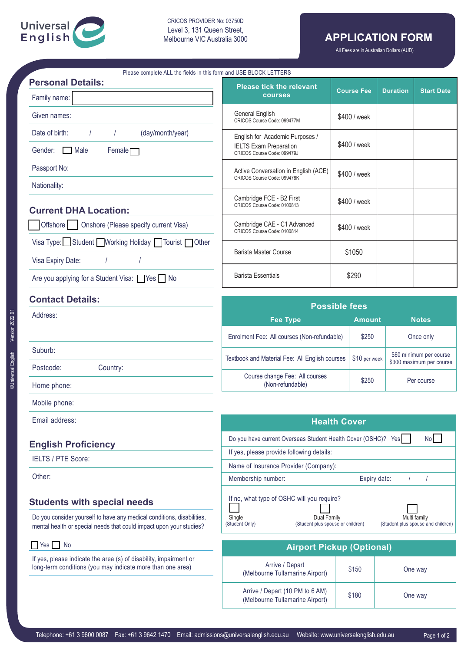

CRICOS PROVIDER No: 03750D Level 3, 131 Queen Street, Melbourne VIC Australia 3000

# **APPLICATION FORM**

All Fees are in Australian Dollars (AUD)

| Please complete ALL the fields in this form and USE BLOCK LETTERS                                                                             |                                                                                                                                    |              |                   |                 |                          |
|-----------------------------------------------------------------------------------------------------------------------------------------------|------------------------------------------------------------------------------------------------------------------------------------|--------------|-------------------|-----------------|--------------------------|
| <b>Personal Details:</b><br>Family name:                                                                                                      | <b>Please tick the relevant</b><br><b>courses</b>                                                                                  |              | <b>Course Fee</b> | <b>Duration</b> | <b>Start Date</b>        |
| Given names:                                                                                                                                  | General English<br>CRICOS Course Code: 099477M                                                                                     | \$400 / week |                   |                 |                          |
| Date of birth:<br>(day/month/year)                                                                                                            | English for Academic Purposes /                                                                                                    |              |                   |                 |                          |
| Gender:<br>Male<br>$F$ emale $\Box$                                                                                                           | <b>IELTS Exam Preparation</b><br>CRICOS Course Code: 099479J                                                                       | \$400 / week |                   |                 |                          |
| Passport No:                                                                                                                                  | Active Conversation in English (ACE)<br>CRICOS Course Code: 099478K                                                                | \$400 / week |                   |                 |                          |
| Nationality:                                                                                                                                  |                                                                                                                                    |              |                   |                 |                          |
| <b>Current DHA Location:</b>                                                                                                                  | Cambridge FCE - B2 First<br>CRICOS Course Code: 0100813                                                                            |              | \$400 / week      |                 |                          |
| Onshore (Please specify current Visa)<br>Offshore                                                                                             | Cambridge CAE - C1 Advanced<br>CRICOS Course Code: 0100814                                                                         |              | \$400 / week      |                 |                          |
| Visa Type: Student Working Holiday   Tourist   Other                                                                                          |                                                                                                                                    |              |                   |                 |                          |
| Visa Expiry Date:                                                                                                                             | <b>Barista Master Course</b>                                                                                                       |              | \$1050            |                 |                          |
| Are you applying for a Student Visa: Yes   No                                                                                                 | <b>Barista Essentials</b>                                                                                                          |              | \$290             |                 |                          |
| <b>Contact Details:</b>                                                                                                                       | <b>Possible fees</b>                                                                                                               |              |                   |                 |                          |
| Address:                                                                                                                                      | <b>Fee Type</b>                                                                                                                    |              | <b>Amount</b>     |                 | <b>Notes</b>             |
|                                                                                                                                               | Enrolment Fee: All courses (Non-refundable)                                                                                        |              | \$250             |                 | Once only                |
| Suburb:                                                                                                                                       |                                                                                                                                    |              | \$10 per week     |                 | \$60 minimum per course  |
| Postcode:<br>Country:                                                                                                                         | Textbook and Material Fee: All English courses                                                                                     |              |                   |                 | \$300 maximum per course |
| Home phone:                                                                                                                                   | Course change Fee: All courses<br>(Non-refundable)                                                                                 |              | \$250             | Per course      |                          |
| Mobile phone:                                                                                                                                 |                                                                                                                                    |              |                   |                 |                          |
| Email address:                                                                                                                                | <b>Health Cover</b>                                                                                                                |              |                   |                 |                          |
| <b>English Proficiency</b>                                                                                                                    |                                                                                                                                    |              |                   |                 | <b>No</b>                |
| <b>IELTS / PTE Score:</b>                                                                                                                     | Do you have current Overseas Student Health Cover (OSHC)? Yes<br>If yes, please provide following details:                         |              |                   |                 |                          |
|                                                                                                                                               | Name of Insurance Provider (Company):<br>Membership number:<br>Expiry date:                                                        |              |                   |                 |                          |
| Other:                                                                                                                                        |                                                                                                                                    |              |                   |                 |                          |
| <b>Students with special needs</b>                                                                                                            | If no, what type of OSHC will you require?                                                                                         |              |                   |                 |                          |
| Do you consider yourself to have any medical conditions, disabilities,<br>mental health or special needs that could impact upon your studies? | Single<br>Dual Family<br>Multi family<br>(Student Only)<br>(Student plus spouse or children)<br>(Student plus spouse and children) |              |                   |                 |                          |
| $\blacksquare$ Yes $\blacksquare$ No                                                                                                          | <b>Airport Pickup (Optional)</b>                                                                                                   |              |                   |                 |                          |
| If yes, please indicate the area (s) of disability, impairment or<br>long-term conditions (you may indicate more than one area)               | Arrive / Depart<br>(Melbourne Tullamarine Airport)                                                                                 |              | \$150             | One way         |                          |

Arrive / Depart (10 PM to 6 AM)<br>(Melbourne Tullamarine Airport) \$180 One way

Arrive / Depart (10 PM to 6 AM)